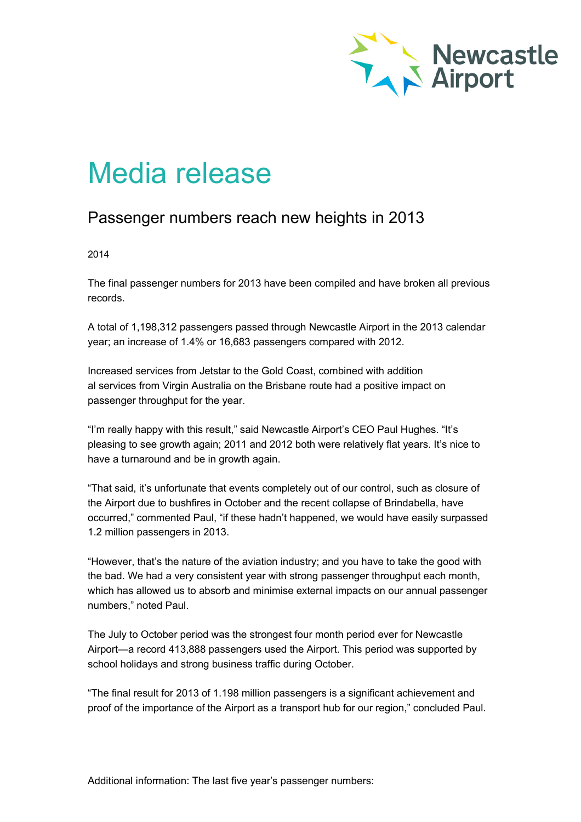

## Media release

## Passenger numbers reach new heights in 2013

2014

The final passenger numbers for 2013 have been compiled and have broken all previous records.

A total of 1,198,312 passengers passed through Newcastle Airport in the 2013 calendar year; an increase of 1.4% or 16,683 passengers compared with 2012.

Increased services from Jetstar to the Gold Coast, combined with addition al services from Virgin Australia on the Brisbane route had a positive impact on passenger throughput for the year.

"I'm really happy with this result," said Newcastle Airport's CEO Paul Hughes. "It's pleasing to see growth again; 2011 and 2012 both were relatively flat years. It's nice to have a turnaround and be in growth again.

"That said, it's unfortunate that events completely out of our control, such as closure of the Airport due to bushfires in October and the recent collapse of Brindabella, have occurred," commented Paul, "if these hadn't happened, we would have easily surpassed 1.2 million passengers in 2013.

"However, that's the nature of the aviation industry; and you have to take the good with the bad. We had a very consistent year with strong passenger throughput each month, which has allowed us to absorb and minimise external impacts on our annual passenger numbers," noted Paul.

The July to October period was the strongest four month period ever for Newcastle Airport—a record 413,888 passengers used the Airport. This period was supported by school holidays and strong business traffic during October.

"The final result for 2013 of 1.198 million passengers is a significant achievement and proof of the importance of the Airport as a transport hub for our region," concluded Paul.

Additional information: The last five year's passenger numbers: